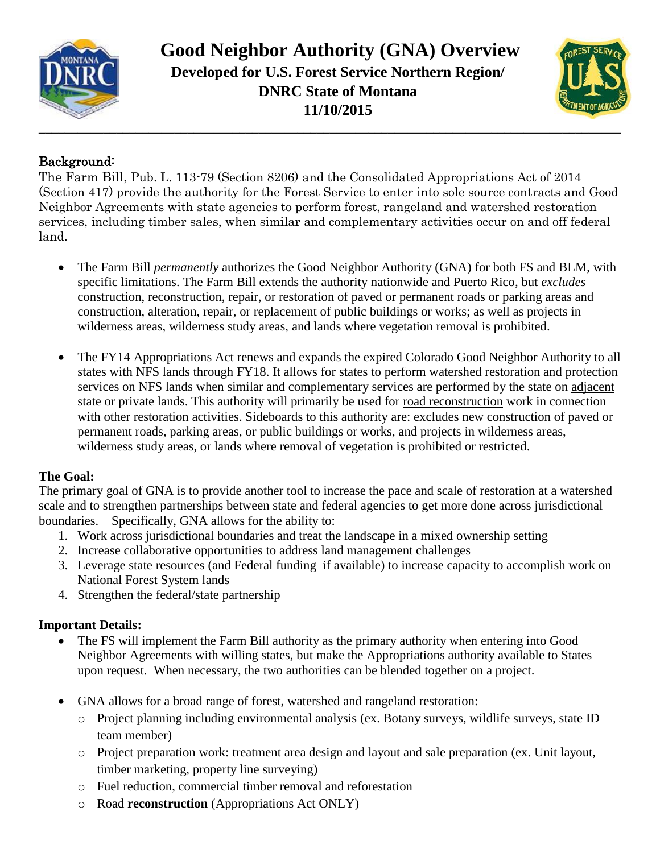

 **Good Neighbor Authority (GNA) Overview Developed for U.S. Forest Service Northern Region/ DNRC State of Montana 11/10/2015**



## Background:

The Farm Bill, Pub. L. 113-79 (Section 8206) and the Consolidated Appropriations Act of 2014 (Section 417) provide the authority for the Forest Service to enter into sole source contracts and Good Neighbor Agreements with state agencies to perform forest, rangeland and watershed restoration services, including timber sales, when similar and complementary activities occur on and off federal land.

- The Farm Bill *permanently* authorizes the Good Neighbor Authority (GNA) for both FS and BLM, with specific limitations. The Farm Bill extends the authority nationwide and Puerto Rico, but *excludes*  construction, reconstruction, repair, or restoration of paved or permanent roads or parking areas and construction, alteration, repair, or replacement of public buildings or works; as well as projects in wilderness areas, wilderness study areas, and lands where vegetation removal is prohibited.
- The FY14 Appropriations Act renews and expands the expired Colorado Good Neighbor Authority to all states with NFS lands through FY18. It allows for states to perform watershed restoration and protection services on NFS lands when similar and complementary services are performed by the state on adjacent state or private lands. This authority will primarily be used for road reconstruction work in connection with other restoration activities. Sideboards to this authority are: excludes new construction of paved or permanent roads, parking areas, or public buildings or works, and projects in wilderness areas, wilderness study areas, or lands where removal of vegetation is prohibited or restricted.

## **The Goal:**

The primary goal of GNA is to provide another tool to increase the pace and scale of restoration at a watershed scale and to strengthen partnerships between state and federal agencies to get more done across jurisdictional boundaries. Specifically, GNA allows for the ability to:

- 1. Work across jurisdictional boundaries and treat the landscape in a mixed ownership setting
- 2. Increase collaborative opportunities to address land management challenges
- 3. Leverage state resources (and Federal funding if available) to increase capacity to accomplish work on National Forest System lands
- 4. Strengthen the federal/state partnership

## **Important Details:**

- The FS will implement the Farm Bill authority as the primary authority when entering into Good Neighbor Agreements with willing states, but make the Appropriations authority available to States upon request. When necessary, the two authorities can be blended together on a project.
- GNA allows for a broad range of forest, watershed and rangeland restoration:
	- o Project planning including environmental analysis (ex. Botany surveys, wildlife surveys, state ID team member)
	- o Project preparation work: treatment area design and layout and sale preparation (ex. Unit layout, timber marketing, property line surveying)
	- o Fuel reduction, commercial timber removal and reforestation
	- o Road **reconstruction** (Appropriations Act ONLY)